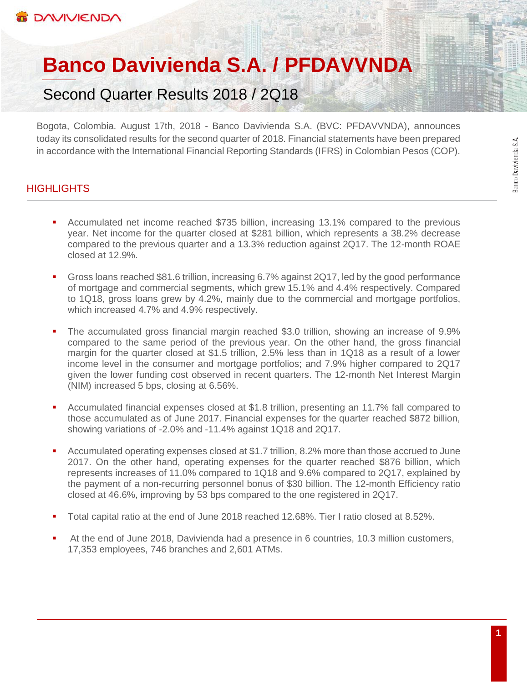# **Banco Davivienda S.A. / PFDAVVNDA**

Second Quarter Results 2018 / 2Q18

Bogota, Colombia. August 17th, 2018 - Banco Davivienda S.A. (BVC: PFDAVVNDA), announces today its consolidated results for the second quarter of 2018. Financial statements have been prepared in accordance with the International Financial Reporting Standards (IFRS) in Colombian Pesos (COP).

# **HIGHLIGHTS**

- Accumulated net income reached \$735 billion, increasing 13.1% compared to the previous year. Net income for the quarter closed at \$281 billion, which represents a 38.2% decrease compared to the previous quarter and a 13.3% reduction against 2Q17. The 12-month ROAE closed at 12.9%.
- Gross loans reached \$81.6 trillion, increasing 6.7% against 2Q17, led by the good performance of mortgage and commercial segments, which grew 15.1% and 4.4% respectively. Compared to 1Q18, gross loans grew by 4.2%, mainly due to the commercial and mortgage portfolios, which increased 4.7% and 4.9% respectively.
- The accumulated gross financial margin reached \$3.0 trillion, showing an increase of 9.9% compared to the same period of the previous year. On the other hand, the gross financial margin for the quarter closed at \$1.5 trillion, 2.5% less than in 1Q18 as a result of a lower income level in the consumer and mortgage portfolios; and 7.9% higher compared to 2Q17 given the lower funding cost observed in recent quarters. The 12-month Net Interest Margin (NIM) increased 5 bps, closing at 6.56%.
- Accumulated financial expenses closed at \$1.8 trillion, presenting an 11.7% fall compared to those accumulated as of June 2017. Financial expenses for the quarter reached \$872 billion, showing variations of -2.0% and -11.4% against 1Q18 and 2Q17.
- Accumulated operating expenses closed at \$1.7 trillion, 8.2% more than those accrued to June 2017. On the other hand, operating expenses for the quarter reached \$876 billion, which represents increases of 11.0% compared to 1Q18 and 9.6% compared to 2Q17, explained by the payment of a non-recurring personnel bonus of \$30 billion. The 12-month Efficiency ratio closed at 46.6%, improving by 53 bps compared to the one registered in 2Q17.
- Total capital ratio at the end of June 2018 reached 12.68%. Tier I ratio closed at 8.52%.
- At the end of June 2018, Davivienda had a presence in 6 countries, 10.3 million customers, 17,353 employees, 746 branches and 2,601 ATMs.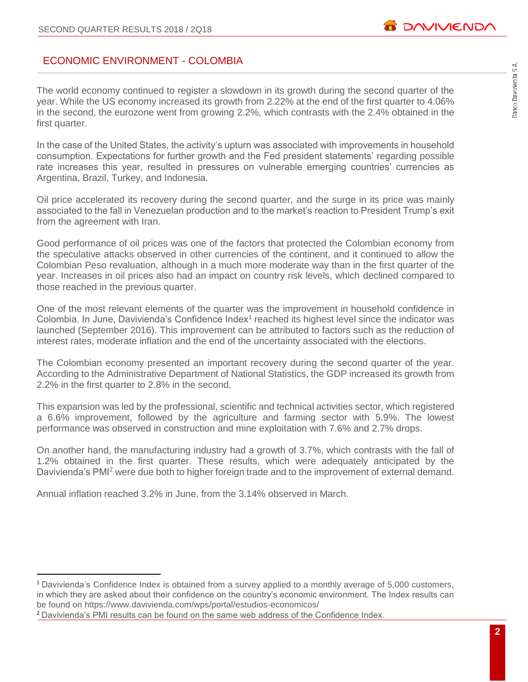# ECONOMIC ENVIRONMENT - COLOMBIA

The world economy continued to register a slowdown in its growth during the second quarter of the year. While the US economy increased its growth from 2.22% at the end of the first quarter to 4.06% in the second, the eurozone went from growing 2.2%, which contrasts with the 2.4% obtained in the first quarter.

In the case of the United States, the activity's upturn was associated with improvements in household consumption. Expectations for further growth and the Fed president statements' regarding possible rate increases this year, resulted in pressures on vulnerable emerging countries' currencies as Argentina, Brazil, Turkey, and Indonesia.

Oil price accelerated its recovery during the second quarter, and the surge in its price was mainly associated to the fall in Venezuelan production and to the market's reaction to President Trump's exit from the agreement with Iran.

Good performance of oil prices was one of the factors that protected the Colombian economy from the speculative attacks observed in other currencies of the continent, and it continued to allow the Colombian Peso revaluation, although in a much more moderate way than in the first quarter of the year. Increases in oil prices also had an impact on country risk levels, which declined compared to those reached in the previous quarter.

One of the most relevant elements of the quarter was the improvement in household confidence in Colombia. In June, Davivienda's Confidence Index<sup>1</sup> reached its highest level since the indicator was launched (September 2016). This improvement can be attributed to factors such as the reduction of interest rates, moderate inflation and the end of the uncertainty associated with the elections.

The Colombian economy presented an important recovery during the second quarter of the year. According to the Administrative Department of National Statistics, the GDP increased its growth from 2.2% in the first quarter to 2.8% in the second.

This expansion was led by the professional, scientific and technical activities sector, which registered a 6.6% improvement, followed by the agriculture and farming sector with 5.9%. The lowest performance was observed in construction and mine exploitation with 7.6% and 2.7% drops.

On another hand, the manufacturing industry had a growth of 3.7%, which contrasts with the fall of 1.2% obtained in the first quarter. These results, which were adequately anticipated by the Davivienda's PMI<sup>2</sup> were due both to higher foreign trade and to the improvement of external demand.

Annual inflation reached 3.2% in June, from the 3.14% observed in March.

 $\overline{a}$ 

<sup>1</sup> Davivienda's Confidence Index is obtained from a survey applied to a monthly average of 5,000 customers, in which they are asked about their confidence on the country's economic environment. The Index results can be found on<https://www.davivienda.com/wps/portal/estudios-economicos/>

<sup>2</sup> Davivienda's PMI results can be found on the same web address of the Confidence Index.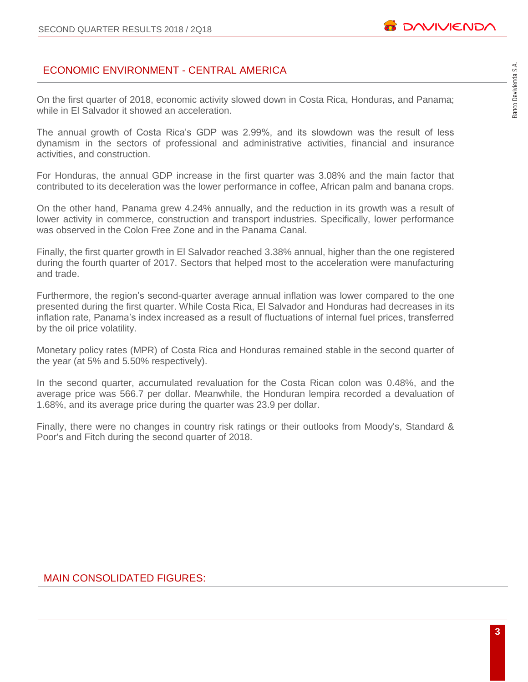# Banco Davivienda S.A.

# ECONOMIC ENVIRONMENT - CENTRAL AMERICA

On the first quarter of 2018, economic activity slowed down in Costa Rica, Honduras, and Panama; while in El Salvador it showed an acceleration.

The annual growth of Costa Rica's GDP was 2.99%, and its slowdown was the result of less dynamism in the sectors of professional and administrative activities, financial and insurance activities, and construction.

For Honduras, the annual GDP increase in the first quarter was 3.08% and the main factor that contributed to its deceleration was the lower performance in coffee, African palm and banana crops.

On the other hand, Panama grew 4.24% annually, and the reduction in its growth was a result of lower activity in commerce, construction and transport industries. Specifically, lower performance was observed in the Colon Free Zone and in the Panama Canal.

Finally, the first quarter growth in El Salvador reached 3.38% annual, higher than the one registered during the fourth quarter of 2017. Sectors that helped most to the acceleration were manufacturing and trade.

Furthermore, the region's second-quarter average annual inflation was lower compared to the one presented during the first quarter. While Costa Rica, El Salvador and Honduras had decreases in its inflation rate, Panama's index increased as a result of fluctuations of internal fuel prices, transferred by the oil price volatility.

Monetary policy rates (MPR) of Costa Rica and Honduras remained stable in the second quarter of the year (at 5% and 5.50% respectively).

In the second quarter, accumulated revaluation for the Costa Rican colon was 0.48%, and the average price was 566.7 per dollar. Meanwhile, the Honduran lempira recorded a devaluation of 1.68%, and its average price during the quarter was 23.9 per dollar.

Finally, there were no changes in country risk ratings or their outlooks from Moody's, Standard & Poor's and Fitch during the second quarter of 2018.

# MAIN CONSOLIDATED FIGURES: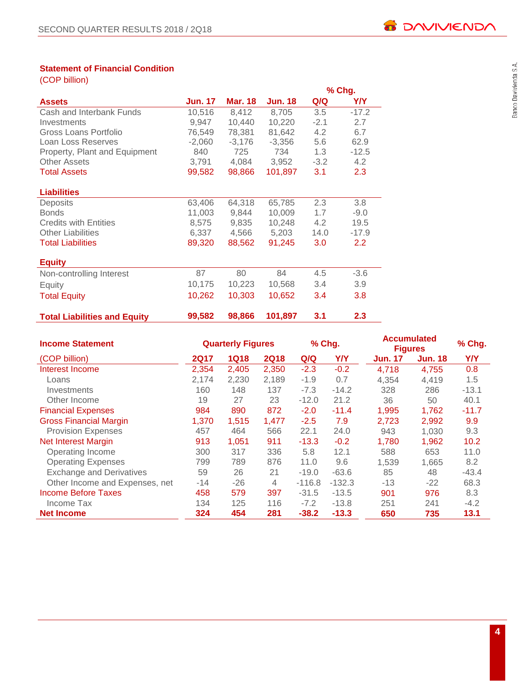#### **Statement of Financial Condition**

| (COP billion) |  |
|---------------|--|
|               |  |
|               |  |

|                                     |                |                |                |                  | % Chg.           |
|-------------------------------------|----------------|----------------|----------------|------------------|------------------|
| <b>Assets</b>                       | <b>Jun. 17</b> | <b>Mar. 18</b> | <b>Jun. 18</b> | Q/Q              | Y/Y              |
| Cash and Interbank Funds            | 10,516         | 8,412          | 8,705          | 3.5              | $-17.2$          |
| Investments                         | 9,947          | 10,440         | 10,220         | $-2.1$           | 2.7              |
| Gross Loans Portfolio               | 76,549         | 78,381         | 81,642         | 4.2              | 6.7              |
| Loan Loss Reserves                  | $-2,060$       | $-3,176$       | $-3,356$       | 5.6              | 62.9             |
| Property, Plant and Equipment       | 840            | 725            | 734            | 1.3              | $-12.5$          |
| <b>Other Assets</b>                 | 3,791          | 4,084          | 3,952          | $-3.2$           | 4.2              |
| <b>Total Assets</b>                 | 99,582         | 98,866         | 101,897        | 3.1              | 2.3              |
|                                     |                |                |                |                  |                  |
| <b>Liabilities</b>                  |                |                |                |                  |                  |
| Deposits                            | 63,406         | 64,318         | 65,785         | 2.3              | 3.8              |
| <b>Bonds</b>                        | 11,003         | 9,844          | 10,009         | 1.7              | $-9.0$           |
| <b>Credits with Entities</b>        | 8,575          | 9,835          | 10,248         | $4.2^{\circ}$    | 19.5             |
| <b>Other Liabilities</b>            | 6,337          | 4,566          | 5,203          | 14.0             | $-17.9$          |
| <b>Total Liabilities</b>            | 89,320         | 88,562         | 91,245         | 3.0 <sub>2</sub> | $2.2\phantom{0}$ |
|                                     |                |                |                |                  |                  |
| <b>Equity</b>                       |                |                |                |                  |                  |
| Non-controlling Interest            | 87             | 80             | 84             | 4.5              | $-3.6$           |
| Equity                              | 10,175         | 10,223         | 10,568         | 3.4              | 3.9              |
| <b>Total Equity</b>                 | 10,262         | 10,303         | 10,652         | 3.4              | 3.8              |
|                                     |                |                |                |                  |                  |
| <b>Total Liabilities and Equity</b> | 99,582         | 98,866         | 101,897        | 3.1              | 2.3              |

| <b>Income Statement</b>         |             | <b>Quarterly Figures</b> |             |          | % Chg.     | <b>Accumulated</b><br><b>Figures</b> | % Chg.         |         |
|---------------------------------|-------------|--------------------------|-------------|----------|------------|--------------------------------------|----------------|---------|
| (COP billion)                   | <b>2Q17</b> | <b>1Q18</b>              | <b>2Q18</b> | Q/Q      | <b>Y/Y</b> | <b>Jun. 17</b>                       | <b>Jun. 18</b> | Y/Y     |
| Interest Income                 | 2,354       | 2,405                    | 2,350       | $-2.3$   | $-0.2$     | 4,718                                | 4,755          | 0.8     |
| Loans                           | 2,174       | 2,230                    | 2,189       | $-1.9$   | 0.7        | 4,354                                | 4,419          | 1.5     |
| Investments                     | 160         | 148                      | 137         | $-7.3$   | $-14.2$    | 328                                  | 286            | $-13.1$ |
| Other Income                    | 19          | 27                       | 23          | $-12.0$  | 21.2       | 36                                   | 50             | 40.1    |
| <b>Financial Expenses</b>       | 984         | 890                      | 872         | $-2.0$   | $-11.4$    | 1,995                                | 1,762          | $-11.7$ |
| <b>Gross Financial Margin</b>   | 1.370       | 1.515                    | 1,477       | $-2.5$   | 7.9        | 2,723                                | 2,992          | 9.9     |
| <b>Provision Expenses</b>       | 457         | 464                      | 566         | 22.1     | 24.0       | 943                                  | 1,030          | 9.3     |
| <b>Net Interest Margin</b>      | 913         | 1,051                    | 911         | $-13.3$  | $-0.2$     | 1,780                                | 1,962          | 10.2    |
| Operating Income                | 300         | 317                      | 336         | 5.8      | 12.1       | 588                                  | 653            | 11.0    |
| <b>Operating Expenses</b>       | 799         | 789                      | 876         | 11.0     | 9.6        | 1,539                                | 1,665          | 8.2     |
| <b>Exchange and Derivatives</b> | 59          | 26                       | 21          | $-19.0$  | $-63.6$    | 85                                   | 48             | $-43.4$ |
| Other Income and Expenses, net  | $-14$       | $-26$                    | 4           | $-116.8$ | $-132.3$   | $-13$                                | $-22$          | 68.3    |
| <b>Income Before Taxes</b>      | 458         | 579                      | 397         | $-31.5$  | $-13.5$    | 901                                  | 976            | 8.3     |
| Income Tax                      | 134         | 125                      | 116         | $-7.2$   | $-13.8$    | 251                                  | 241            | $-4.2$  |
| <b>Net Income</b>               | 324         | 454                      | 281         | $-38.2$  | $-13.3$    | 650                                  | 735            | 13.1    |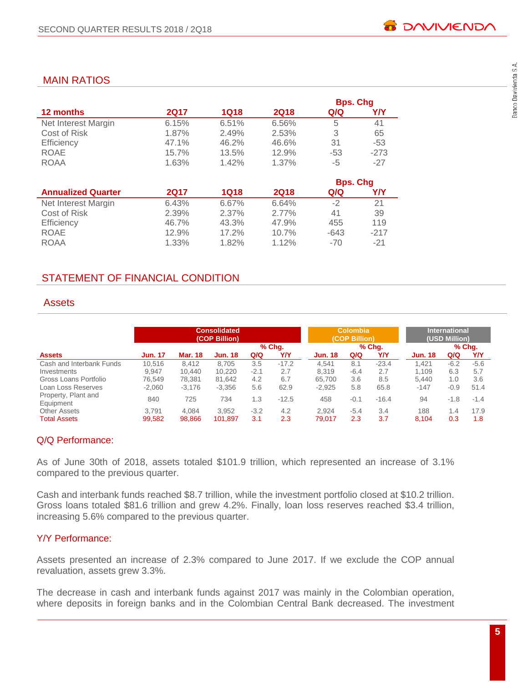# MAIN RATIOS

|                     |             |       |             | <b>Bps. Chg</b> |        |
|---------------------|-------------|-------|-------------|-----------------|--------|
| <b>12 months</b>    | <b>2Q17</b> | 1Q18  | <b>2Q18</b> | Q/Q             | Y/Y    |
| Net Interest Margin | 6.15%       | 6.51% | 6.56%       | 5               | 41     |
| Cost of Risk        | 1.87%       | 2.49% | 2.53%       | 3               | 65     |
| Efficiency          | 47.1%       | 46.2% | 46.6%       | 31              | $-53$  |
| ROAE                | 15.7%       | 13.5% | 12.9%       | $-53$           | $-273$ |
| <b>ROAA</b>         | 1.63%       | 1.42% | 1.37%       | -5              | $-27$  |

|                           |       |          |             | <b>Bps. Chg</b> |        |
|---------------------------|-------|----------|-------------|-----------------|--------|
| <b>Annualized Quarter</b> | 2017  | 1Q18     | <b>2Q18</b> | Q/Q             | Y/Y    |
| Net Interest Margin       | 6.43% | 6.67%    | 6.64%       | -2              | 21     |
| Cost of Risk              | 2.39% | $2.37\%$ | $2.77\%$    | 41              | 39     |
| Efficiency                | 46.7% | 43.3%    | 47.9%       | 455             | 119    |
| <b>ROAE</b>               | 12.9% | 17.2%    | 10.7%       | $-643$          | $-217$ |
| <b>ROAA</b>               | 1.33% | 1.82%    | 1.12%       | $-70$           | $-21$  |

# STATEMENT OF FINANCIAL CONDITION

# **Assets**

|                                  | <b>Consolidated</b><br>(COP Billion) |          |                |        |         |                | Colombia<br>(COP Billion) |          | <b>International</b><br>(USD Million) |        |        |
|----------------------------------|--------------------------------------|----------|----------------|--------|---------|----------------|---------------------------|----------|---------------------------------------|--------|--------|
|                                  |                                      |          |                |        | % Chg.  |                |                           | $%$ Chq. |                                       |        | % Chq. |
| <b>Assets</b>                    | <b>Jun. 17</b>                       | Mar. 18  | <b>Jun. 18</b> | Q/Q    | Y/Y     | <b>Jun. 18</b> | Q/Q                       | YN       | <b>Jun. 18</b>                        | Q/Q    | Y/Y    |
| Cash and Interbank Funds         | 10.516                               | 8.412    | 8.705          | 3.5    | $-17.2$ | 4.541          | 8.1                       | $-23.4$  | 1.421                                 | $-6.2$ | $-5.6$ |
| Investments                      | 9.947                                | 10.440   | 10.220         | $-2.1$ | 2.7     | 8.319          | $-6.4$                    | 2.7      | 1.109                                 | 6.3    | 5.7    |
| Gross Loans Portfolio            | 76.549                               | 78.381   | 81.642         | 4.2    | 6.7     | 65,700         | 3.6                       | 8.5      | 5.440                                 | 1.0    | 3.6    |
| Loan Loss Reserves               | $-2,060$                             | $-3,176$ | $-3.356$       | 5.6    | 62.9    | $-2,925$       | 5.8                       | 65.8     | $-147$                                | $-0.9$ | 51.4   |
| Property, Plant and<br>Equipment | 840                                  | 725      | 734            | 1.3    | $-12.5$ | 458            | $-0.1$                    | $-16.4$  | 94                                    | $-1.8$ | $-1.4$ |
| <b>Other Assets</b>              | 3.791                                | 4.084    | 3.952          | $-3.2$ | 4.2     | 2.924          | $-5.4$                    | 3.4      | 188                                   | 1.4    | 17.9   |
| <b>Total Assets</b>              | 99.582                               | 98.866   | 101,897        | 3.1    | 2.3     | 79.017         | 2.3                       | 3.7      | 8.104                                 | 0.3    | 1.8    |

# Q/Q Performance:

As of June 30th of 2018, assets totaled \$101.9 trillion, which represented an increase of 3.1% compared to the previous quarter.

Cash and interbank funds reached \$8.7 trillion, while the investment portfolio closed at \$10.2 trillion. Gross loans totaled \$81.6 trillion and grew 4.2%. Finally, loan loss reserves reached \$3.4 trillion, increasing 5.6% compared to the previous quarter.

# Y/Y Performance:

Assets presented an increase of 2.3% compared to June 2017. If we exclude the COP annual revaluation, assets grew 3.3%.

The decrease in cash and interbank funds against 2017 was mainly in the Colombian operation, where deposits in foreign banks and in the Colombian Central Bank decreased. The investment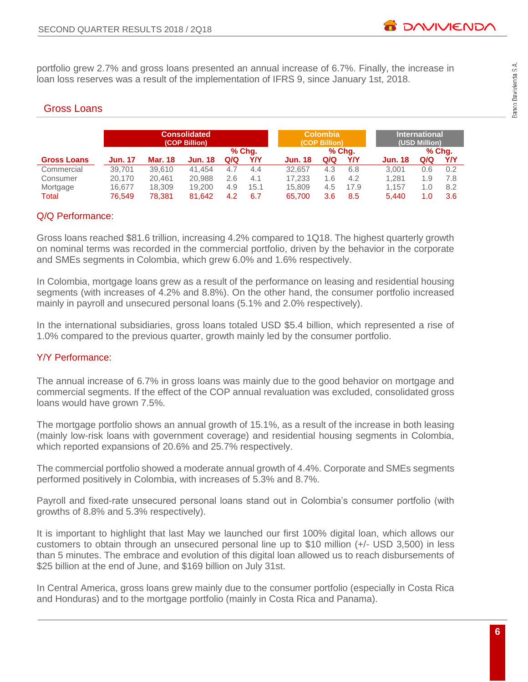portfolio grew 2.7% and gross loans presented an annual increase of 6.7%. Finally, the increase in loan loss reserves was a result of the implementation of IFRS 9, since January 1st, 2018.

# Gross Loans

|                    | <b>Consolidated</b><br>(COP Billion) |                |                |     |        |                | <b>Colombia</b><br>(COP Billion) |        | <b>International</b><br>(USD Million) |     |        |  |
|--------------------|--------------------------------------|----------------|----------------|-----|--------|----------------|----------------------------------|--------|---------------------------------------|-----|--------|--|
|                    |                                      |                |                |     | % Chq. |                |                                  | % Chq. |                                       |     | % Chq. |  |
| <b>Gross Loans</b> | <b>Jun. 17</b>                       | <b>Mar. 18</b> | <b>Jun. 18</b> | Q/Q | Y/Y    | <b>Jun. 18</b> | Q/Q                              | Y/Y    | <b>Jun. 18</b>                        | Q/Q | Y/Y    |  |
| Commercial         | 39.701                               | 39,610         | 41.454         | 4.7 | 4.4    | 32.657         | 4.3                              | 6.8    | 3.001                                 | 0.6 | 0.2    |  |
| Consumer           | 20.170                               | 20.461         | 20,988         | 2.6 | 4.1    | 17.233         | 1.6                              | 4.2    | 1.281                                 | 1.9 | 7.8    |  |
| Mortgage           | 16.677                               | 18,309         | 19,200         | 4.9 | 15.1   | 15,809         | 4.5                              | 17.9   | 1.157                                 | 1.0 | 8.2    |  |
| Total              | 76.549                               | 78,381         | 81.642         | 4.2 | 6.7    | 65.700         | 3.6                              | 8.5    | 5.440                                 | 1.0 | 3.6    |  |

# Q/Q Performance:

Gross loans reached \$81.6 trillion, increasing 4.2% compared to 1Q18. The highest quarterly growth on nominal terms was recorded in the commercial portfolio, driven by the behavior in the corporate and SMEs segments in Colombia, which grew 6.0% and 1.6% respectively.

In Colombia, mortgage loans grew as a result of the performance on leasing and residential housing segments (with increases of 4.2% and 8.8%). On the other hand, the consumer portfolio increased mainly in payroll and unsecured personal loans (5.1% and 2.0% respectively).

In the international subsidiaries, gross loans totaled USD \$5.4 billion, which represented a rise of 1.0% compared to the previous quarter, growth mainly led by the consumer portfolio.

# Y/Y Performance:

The annual increase of 6.7% in gross loans was mainly due to the good behavior on mortgage and commercial segments. If the effect of the COP annual revaluation was excluded, consolidated gross loans would have grown 7.5%.

The mortgage portfolio shows an annual growth of 15.1%, as a result of the increase in both leasing (mainly low-risk loans with government coverage) and residential housing segments in Colombia, which reported expansions of 20.6% and 25.7% respectively.

The commercial portfolio showed a moderate annual growth of 4.4%. Corporate and SMEs segments performed positively in Colombia, with increases of 5.3% and 8.7%.

Payroll and fixed-rate unsecured personal loans stand out in Colombia's consumer portfolio (with growths of 8.8% and 5.3% respectively).

It is important to highlight that last May we launched our first 100% digital loan, which allows our customers to obtain through an unsecured personal line up to \$10 million (+/- USD 3,500) in less than 5 minutes. The embrace and evolution of this digital loan allowed us to reach disbursements of \$25 billion at the end of June, and \$169 billion on July 31st.

In Central America, gross loans grew mainly due to the consumer portfolio (especially in Costa Rica and Honduras) and to the mortgage portfolio (mainly in Costa Rica and Panama).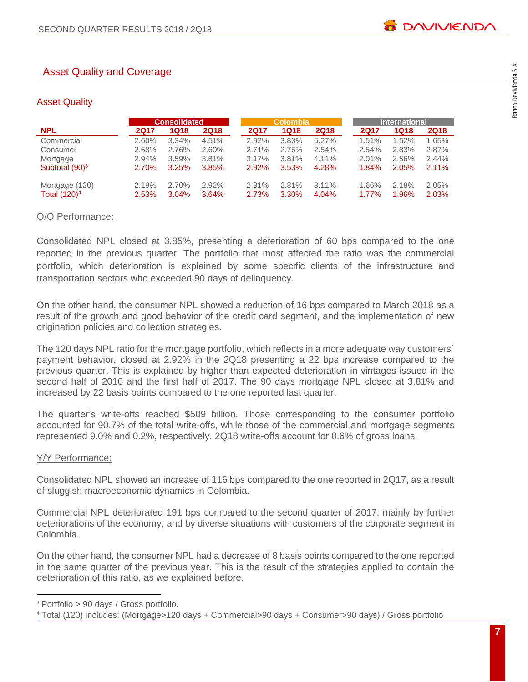# Asset Quality and Coverage

#### Asset Quality

|                   |       | <b>Consolidated</b> |             |             | <b>Colombia</b> |             | <b>International</b> |             |             |  |
|-------------------|-------|---------------------|-------------|-------------|-----------------|-------------|----------------------|-------------|-------------|--|
| <b>NPL</b>        | 2Q17  | <b>1Q18</b>         | <b>2Q18</b> | <b>2Q17</b> | 1Q18            | <b>2Q18</b> | <b>2Q17</b>          | <b>1Q18</b> | <b>2Q18</b> |  |
| Commercial        | 2.60% | 3.34%               | 4.51%       | 2.92%       | 3.83%           | 5.27%       | 1.51%                | 1.52%       | 1.65%       |  |
| Consumer          | 2.68% | 2.76%               | 2.60%       | 2.71%       | 2.75%           | 2.54%       | 2.54%                | 2.83%       | 2.87%       |  |
| Mortgage          | 2.94% | 3.59%               | 3.81%       | 3.17%       | 3.81%           | 4.11%       | 2.01%                | 2.56%       | 2.44%       |  |
| Subtotal $(90)^3$ | 2.70% | 3.25%               | 3.85%       | 2.92%       | 3.53%           | 4.28%       | 1.84%                | 2.05%       | 2.11%       |  |
| Mortgage (120)    | 2.19% | 2.70%               | 2.92%       | 2.31%       | 2.81%           | $3.11\%$    | 1.66%                | 2.18%       | 2.05%       |  |
| Total $(120)^4$   | 2.53% | 3.04%               | 3.64%       | 2.73%       | 3.30%           | 4.04%       | 1.77%                | 1.96%       | 2.03%       |  |

#### Q/Q Performance:

Consolidated NPL closed at 3.85%, presenting a deterioration of 60 bps compared to the one reported in the previous quarter. The portfolio that most affected the ratio was the commercial portfolio, which deterioration is explained by some specific clients of the infrastructure and transportation sectors who exceeded 90 days of delinquency.

On the other hand, the consumer NPL showed a reduction of 16 bps compared to March 2018 as a result of the growth and good behavior of the credit card segment, and the implementation of new origination policies and collection strategies.

The 120 days NPL ratio for the mortgage portfolio, which reflects in a more adequate way customers´ payment behavior, closed at 2.92% in the 2Q18 presenting a 22 bps increase compared to the previous quarter. This is explained by higher than expected deterioration in vintages issued in the second half of 2016 and the first half of 2017. The 90 days mortgage NPL closed at 3.81% and increased by 22 basis points compared to the one reported last quarter.

The quarter's write-offs reached \$509 billion. Those corresponding to the consumer portfolio accounted for 90.7% of the total write-offs, while those of the commercial and mortgage segments represented 9.0% and 0.2%, respectively. 2Q18 write-offs account for 0.6% of gross loans.

#### Y/Y Performance:

 $\overline{a}$ 

Consolidated NPL showed an increase of 116 bps compared to the one reported in 2Q17, as a result of sluggish macroeconomic dynamics in Colombia.

Commercial NPL deteriorated 191 bps compared to the second quarter of 2017, mainly by further deteriorations of the economy, and by diverse situations with customers of the corporate segment in Colombia.

On the other hand, the consumer NPL had a decrease of 8 basis points compared to the one reported in the same quarter of the previous year. This is the result of the strategies applied to contain the deterioration of this ratio, as we explained before.

<sup>3</sup> Portfolio > 90 days / Gross portfolio.

<sup>4</sup> Total (120) includes: (Mortgage>120 days + Commercial>90 days + Consumer>90 days) / Gross portfolio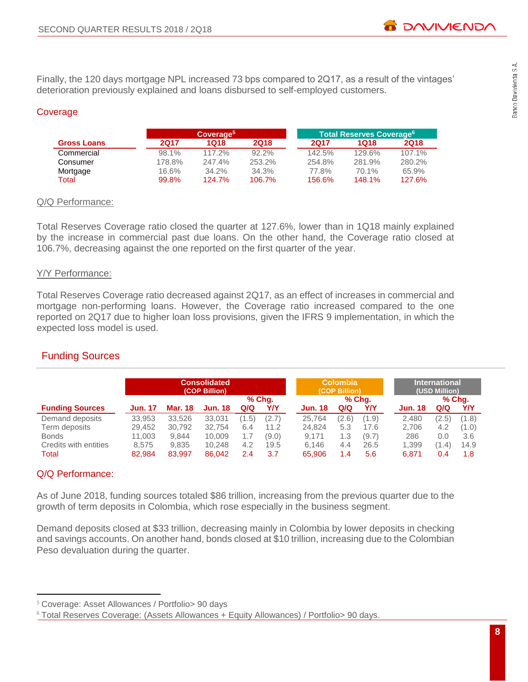Finally, the 120 days mortgage NPL increased 73 bps compared to 2Q17, as a result of the vintages' deterioration previously explained and loans disbursed to self-employed customers.

# Coverage

|                    |        | Coverage <sup>5</sup> |          | Total Reserves Coverage <sup>6</sup> |        |             |  |  |
|--------------------|--------|-----------------------|----------|--------------------------------------|--------|-------------|--|--|
| <b>Gross Loans</b> | 2017   | 1018                  | 2Q18     | 2017                                 | 1Q18   | <b>2Q18</b> |  |  |
| Commercial         | 98.1%  | $117.2\%$             | $92.2\%$ | 142.5%                               | 129.6% | 107.1%      |  |  |
| Consumer           | 178.8% | 247.4%                | 253.2%   | 254.8%                               | 281.9% | 280.2%      |  |  |
| Mortgage           | 16.6%  | $34.2\%$              | 34.3%    | 77.8%                                | 70.1%  | 65.9%       |  |  |
| Total              | 99.8%  | 124.7%                | 106.7%   | 156.6%                               | 148.1% | 127.6%      |  |  |

#### Q/Q Performance:

Total Reserves Coverage ratio closed the quarter at 127.6%, lower than in 1Q18 mainly explained by the increase in commercial past due loans. On the other hand, the Coverage ratio closed at 106.7%, decreasing against the one reported on the first quarter of the year.

#### Y/Y Performance:

Total Reserves Coverage ratio decreased against 2Q17, as an effect of increases in commercial and mortgage non-performing loans. However, the Coverage ratio increased compared to the one reported on 2Q17 due to higher loan loss provisions, given the IFRS 9 implementation, in which the expected loss model is used.

# Funding Sources

|                        | <b>Consolidated</b><br>(COP Billion)<br>% Chq. |                |                |       |       | <b>Colombia</b><br>(COP Billion) | <b>International</b><br>(USD Million)<br>% Chq. |       |  |                |       |       |
|------------------------|------------------------------------------------|----------------|----------------|-------|-------|----------------------------------|-------------------------------------------------|-------|--|----------------|-------|-------|
| <b>Funding Sources</b> | <b>Jun. 17</b>                                 | <b>Mar. 18</b> | <b>Jun. 18</b> | Q/Q   | Y/Y   | <b>Jun. 18</b>                   | % Chq.<br>Q/Q                                   | Y/Y   |  | <b>Jun. 18</b> | Q/Q   | Y/Y   |
| Demand deposits        | 33.953                                         | 33.526         | 33.031         | (1.5) | (2.7) | 25.764                           | (2.6)                                           | (1.9) |  | 2.480          | (2.5) | (1.8) |
| Term deposits          | 29,452                                         | 30,792         | 32.754         | 6.4   | 11.2  | 24.824                           | 5.3                                             | 17.6  |  | 2,706          | 4.2   | (1.0) |
| <b>Bonds</b>           | 11.003                                         | 9.844          | 10.009         | 1.7   | (9.0) | 9.171                            | 1.3                                             | (9.7) |  | 286            | 0.0   | 3.6   |
| Credits with entities  | 8.575                                          | 9,835          | 10.248         | 4.2   | 19.5  | 6.146                            | 4.4                                             | 26.5  |  | 1.399          | (1.4) | 14.9  |
| Total                  | 82,984                                         | 83,997         | 86.042         | 2.4   | 3.7   | 65,906                           | 1.4                                             | 5.6   |  | 6.871          | 0.4   | 1.8   |

# Q/Q Performance:

 $\overline{a}$ 

As of June 2018, funding sources totaled \$86 trillion, increasing from the previous quarter due to the growth of term deposits in Colombia, which rose especially in the business segment.

Demand deposits closed at \$33 trillion, decreasing mainly in Colombia by lower deposits in checking and savings accounts. On another hand, bonds closed at \$10 trillion, increasing due to the Colombian Peso devaluation during the quarter.

<sup>5</sup> Coverage: Asset Allowances / Portfolio> 90 days

<sup>&</sup>lt;sup>6</sup> Total Reserves Coverage: (Assets Allowances + Equity Allowances) / Portfolio> 90 days.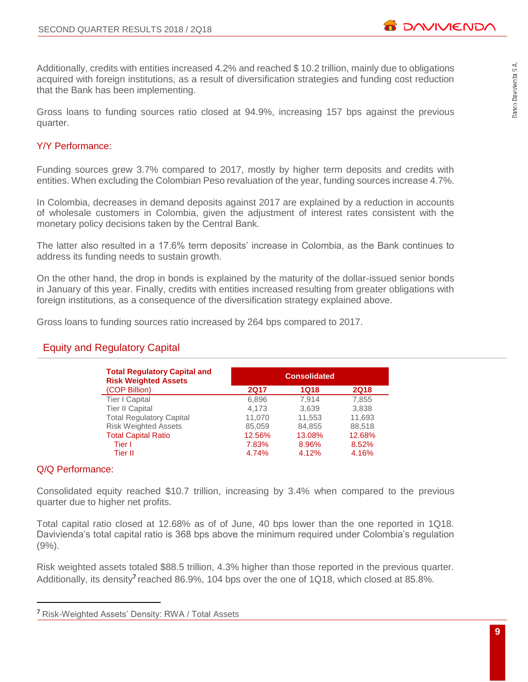**B DAVIVIEND/** 

Additionally, credits with entities increased 4.2% and reached \$ 10.2 trillion, mainly due to obligations acquired with foreign institutions, as a result of diversification strategies and funding cost reduction that the Bank has been implementing.

Gross loans to funding sources ratio closed at 94.9%, increasing 157 bps against the previous quarter.

# Y/Y Performance:

Funding sources grew 3.7% compared to 2017, mostly by higher term deposits and credits with entities. When excluding the Colombian Peso revaluation of the year, funding sources increase 4.7%.

In Colombia, decreases in demand deposits against 2017 are explained by a reduction in accounts of wholesale customers in Colombia, given the adjustment of interest rates consistent with the monetary policy decisions taken by the Central Bank.

The latter also resulted in a 17.6% term deposits' increase in Colombia, as the Bank continues to address its funding needs to sustain growth.

On the other hand, the drop in bonds is explained by the maturity of the dollar-issued senior bonds in January of this year. Finally, credits with entities increased resulting from greater obligations with foreign institutions, as a consequence of the diversification strategy explained above.

Gross loans to funding sources ratio increased by 264 bps compared to 2017.

# Equity and Regulatory Capital

| <b>Total Regulatory Capital and</b><br><b>Risk Weighted Assets</b> | <b>Consolidated</b> |             |             |  |  |  |  |  |
|--------------------------------------------------------------------|---------------------|-------------|-------------|--|--|--|--|--|
| (COP Billion)                                                      | <b>2Q17</b>         | <b>1Q18</b> | <b>2Q18</b> |  |  |  |  |  |
| Tier I Capital                                                     | 6,896               | 7.914       | 7,855       |  |  |  |  |  |
| <b>Tier II Capital</b>                                             | 4.173               | 3,639       | 3,838       |  |  |  |  |  |
| <b>Total Regulatory Capital</b>                                    | 11,070              | 11,553      | 11,693      |  |  |  |  |  |
| <b>Risk Weighted Assets</b>                                        | 85,059              | 84,855      | 88.518      |  |  |  |  |  |
| <b>Total Capital Ratio</b>                                         | 12.56%              | 13.08%      | 12.68%      |  |  |  |  |  |
| Tier I                                                             | 7.83%               | 8.96%       | 8.52%       |  |  |  |  |  |
| Tier II                                                            | 4.74%               | 4.12%       | 4.16%       |  |  |  |  |  |

#### Q/Q Performance:

 $\overline{a}$ 

Consolidated equity reached \$10.7 trillion, increasing by 3.4% when compared to the previous quarter due to higher net profits.

Total capital ratio closed at 12.68% as of of June, 40 bps lower than the one reported in 1Q18. Davivienda's total capital ratio is 368 bps above the minimum required under Colombia's regulation  $(9\%)$ .

Risk weighted assets totaled \$88.5 trillion, 4.3% higher than those reported in the previous quarter. Additionally, its density<sup>7</sup> reached 86.9%, 104 bps over the one of 1Q18, which closed at 85.8%.

<sup>&</sup>lt;sup>7</sup> Risk-Weighted Assets' Density: RWA / Total Assets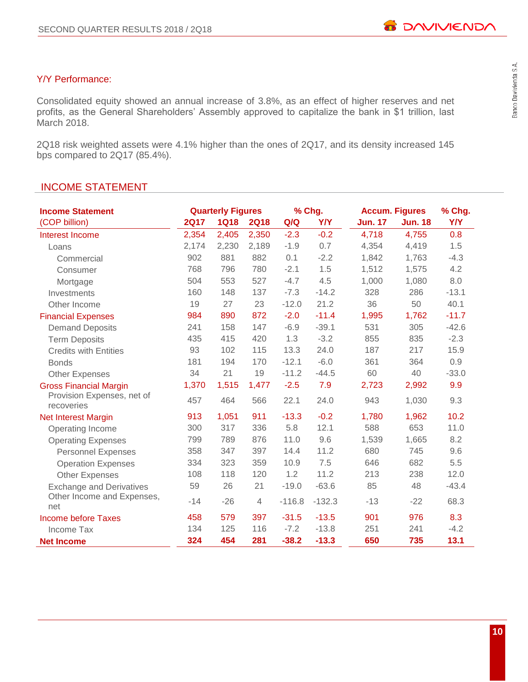# Y/Y Performance:

Consolidated equity showed an annual increase of 3.8%, as an effect of higher reserves and net profits, as the General Shareholders' Assembly approved to capitalize the bank in \$1 trillion, last March 2018.

2Q18 risk weighted assets were 4.1% higher than the ones of 2Q17, and its density increased 145 bps compared to 2Q17 (85.4%).

# INCOME STATEMENT

| <b>Income Statement</b>                  |             | <b>Quarterly Figures</b> |             |          | % Chg.     |                | <b>Accum. Figures</b> |         |  |
|------------------------------------------|-------------|--------------------------|-------------|----------|------------|----------------|-----------------------|---------|--|
| (COP billion)                            | <b>2Q17</b> | <b>1Q18</b>              | <b>2Q18</b> | Q/Q      | <b>Y/Y</b> | <b>Jun. 17</b> | <b>Jun. 18</b>        | Y/Y     |  |
| Interest Income                          | 2,354       | 2,405                    | 2,350       | $-2.3$   | $-0.2$     | 4,718          | 4,755                 | 0.8     |  |
| Loans                                    | 2,174       | 2,230                    | 2,189       | $-1.9$   | 0.7        | 4,354          | 4,419                 | 1.5     |  |
| Commercial                               | 902         | 881                      | 882         | 0.1      | $-2.2$     | 1,842          | 1,763                 | $-4.3$  |  |
| Consumer                                 | 768         | 796                      | 780         | $-2.1$   | 1.5        | 1,512          | 1,575                 | 4.2     |  |
| Mortgage                                 | 504         | 553                      | 527         | $-4.7$   | 4.5        | 1,000          | 1,080                 | 8.0     |  |
| Investments                              | 160         | 148                      | 137         | $-7.3$   | $-14.2$    | 328            | 286                   | $-13.1$ |  |
| Other Income                             | 19          | 27                       | 23          | $-12.0$  | 21.2       | 36             | 50                    | 40.1    |  |
| <b>Financial Expenses</b>                | 984         | 890                      | 872         | $-2.0$   | $-11.4$    | 1,995          | 1,762                 | $-11.7$ |  |
| <b>Demand Deposits</b>                   | 241         | 158                      | 147         | $-6.9$   | $-39.1$    | 531            | 305                   | $-42.6$ |  |
| <b>Term Deposits</b>                     | 435         | 415                      | 420         | 1.3      | $-3.2$     | 855            | 835                   | $-2.3$  |  |
| <b>Credits with Entities</b>             | 93          | 102                      | 115         | 13.3     | 24.0       | 187            | 217                   | 15.9    |  |
| <b>Bonds</b>                             | 181         | 194                      | 170         | $-12.1$  | $-6.0$     | 361            | 364                   | 0.9     |  |
| <b>Other Expenses</b>                    | 34          | 21                       | 19          | $-11.2$  | $-44.5$    | 60             | 40                    | $-33.0$ |  |
| <b>Gross Financial Margin</b>            | 1,370       | 1,515                    | 1,477       | $-2.5$   | 7.9        | 2,723          | 2,992                 | 9.9     |  |
| Provision Expenses, net of<br>recoveries | 457         | 464                      | 566         | 22.1     | 24.0       | 943            | 1,030                 | 9.3     |  |
| <b>Net Interest Margin</b>               | 913         | 1,051                    | 911         | $-13.3$  | $-0.2$     | 1,780          | 1,962                 | 10.2    |  |
| Operating Income                         | 300         | 317                      | 336         | 5.8      | 12.1       | 588            | 653                   | 11.0    |  |
| <b>Operating Expenses</b>                | 799         | 789                      | 876         | 11.0     | 9.6        | 1,539          | 1,665                 | 8.2     |  |
| <b>Personnel Expenses</b>                | 358         | 347                      | 397         | 14.4     | 11.2       | 680            | 745                   | 9.6     |  |
| <b>Operation Expenses</b>                | 334         | 323                      | 359         | 10.9     | 7.5        | 646            | 682                   | 5.5     |  |
| <b>Other Expenses</b>                    | 108         | 118                      | 120         | 1.2      | 11.2       | 213            | 238                   | 12.0    |  |
| <b>Exchange and Derivatives</b>          | 59          | 26                       | 21          | $-19.0$  | $-63.6$    | 85             | 48                    | $-43.4$ |  |
| Other Income and Expenses,<br>net        | $-14$       | $-26$                    | 4           | $-116.8$ | $-132.3$   | $-13$          | $-22$                 | 68.3    |  |
| <b>Income before Taxes</b>               | 458         | 579                      | 397         | $-31.5$  | $-13.5$    | 901            | 976                   | 8.3     |  |
| Income Tax                               | 134         | 125                      | 116         | $-7.2$   | $-13.8$    | 251            | 241                   | $-4.2$  |  |
| <b>Net Income</b>                        | 324         | 454                      | 281         | $-38.2$  | $-13.3$    | 650            | 735                   | 13.1    |  |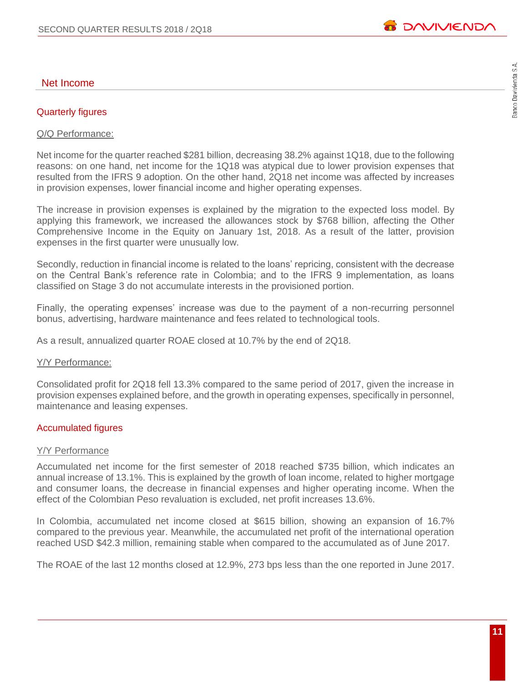# Quarterly figures

#### Q/Q Performance:

Net income for the quarter reached \$281 billion, decreasing 38.2% against 1Q18, due to the following reasons: on one hand, net income for the 1Q18 was atypical due to lower provision expenses that resulted from the IFRS 9 adoption. On the other hand, 2Q18 net income was affected by increases in provision expenses, lower financial income and higher operating expenses.

The increase in provision expenses is explained by the migration to the expected loss model. By applying this framework, we increased the allowances stock by \$768 billion, affecting the Other Comprehensive Income in the Equity on January 1st, 2018. As a result of the latter, provision expenses in the first quarter were unusually low.

Secondly, reduction in financial income is related to the loans' repricing, consistent with the decrease on the Central Bank's reference rate in Colombia; and to the IFRS 9 implementation, as loans classified on Stage 3 do not accumulate interests in the provisioned portion.

Finally, the operating expenses' increase was due to the payment of a non-recurring personnel bonus, advertising, hardware maintenance and fees related to technological tools.

As a result, annualized quarter ROAE closed at 10.7% by the end of 2Q18.

#### Y/Y Performance:

Consolidated profit for 2Q18 fell 13.3% compared to the same period of 2017, given the increase in provision expenses explained before, and the growth in operating expenses, specifically in personnel, maintenance and leasing expenses.

#### Accumulated figures

#### Y/Y Performance

Accumulated net income for the first semester of 2018 reached \$735 billion, which indicates an annual increase of 13.1%. This is explained by the growth of loan income, related to higher mortgage and consumer loans, the decrease in financial expenses and higher operating income. When the effect of the Colombian Peso revaluation is excluded, net profit increases 13.6%.

In Colombia, accumulated net income closed at \$615 billion, showing an expansion of 16.7% compared to the previous year. Meanwhile, the accumulated net profit of the international operation reached USD \$42.3 million, remaining stable when compared to the accumulated as of June 2017.

The ROAE of the last 12 months closed at 12.9%, 273 bps less than the one reported in June 2017.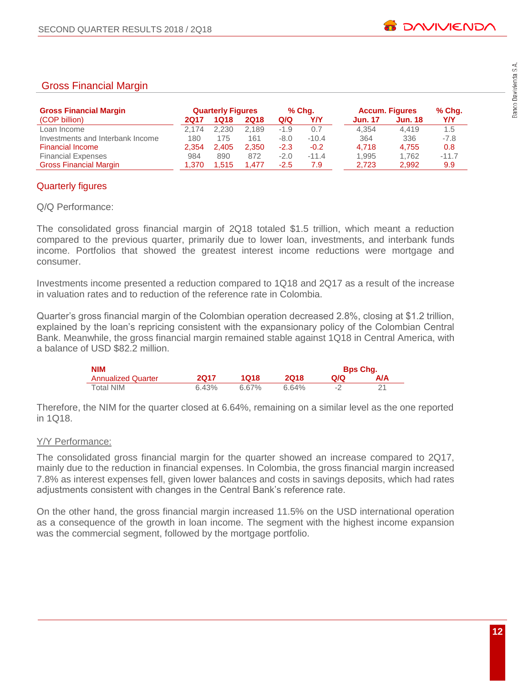# Gross Financial Margin

| <b>Gross Financial Margin</b>    |       | <b>Quarterly Figures</b> |             |        | % Chq.  |                | <b>Accum. Figures</b> | % Chq.  |
|----------------------------------|-------|--------------------------|-------------|--------|---------|----------------|-----------------------|---------|
| (COP billion)                    | 2017  | 1Q18                     | <b>2Q18</b> | Q/Q    | Y/Y     | <b>Jun. 17</b> | <b>Jun. 18</b>        | YN      |
| Loan Income                      | 2.174 | 2.230                    | 2.189       | -1.9   | 0.7     | 4.354          | 4.419                 | 1.5     |
| Investments and Interbank Income | 180   | 175                      | 161         | $-8.0$ | $-10.4$ | 364            | 336                   | $-7.8$  |
| <b>Financial Income</b>          | 2.354 | 2.405                    | 2.350       | $-2.3$ | $-0.2$  | 4.718          | 4.755                 | 0.8     |
| <b>Financial Expenses</b>        | 984   | 890                      | 872         | $-2.0$ | $-11.4$ | 1.995          | 1.762                 | $-11.7$ |
| <b>Gross Financial Margin</b>    | 1.370 | 1.515                    | 1.477       | -2.5   | 7.9     | 2.723          | 2,992                 | 9.9     |

# Quarterly figures

# Q/Q Performance:

The consolidated gross financial margin of 2Q18 totaled \$1.5 trillion, which meant a reduction compared to the previous quarter, primarily due to lower loan, investments, and interbank funds income. Portfolios that showed the greatest interest income reductions were mortgage and consumer.

Investments income presented a reduction compared to 1Q18 and 2Q17 as a result of the increase in valuation rates and to reduction of the reference rate in Colombia.

Quarter's gross financial margin of the Colombian operation decreased 2.8%, closing at \$1.2 trillion, explained by the loan's repricing consistent with the expansionary policy of the Colombian Central Bank. Meanwhile, the gross financial margin remained stable against 1Q18 in Central America, with a balance of USD \$82.2 million.

| <b>NIM</b>                |       |       |       |    | <b>Bps Chq.</b> |
|---------------------------|-------|-------|-------|----|-----------------|
| <b>Annualized Quarter</b> | 2017  | 1018  | 2018  | വറ | A/A             |
| Total NIM                 | 6.43% | 6.67% | 6.64% |    |                 |

Therefore, the NIM for the quarter closed at 6.64%, remaining on a similar level as the one reported in 1Q18.

# Y/Y Performance:

The consolidated gross financial margin for the quarter showed an increase compared to 2Q17, mainly due to the reduction in financial expenses. In Colombia, the gross financial margin increased 7.8% as interest expenses fell, given lower balances and costs in savings deposits, which had rates adjustments consistent with changes in the Central Bank's reference rate.

On the other hand, the gross financial margin increased 11.5% on the USD international operation as a consequence of the growth in loan income. The segment with the highest income expansion was the commercial segment, followed by the mortgage portfolio.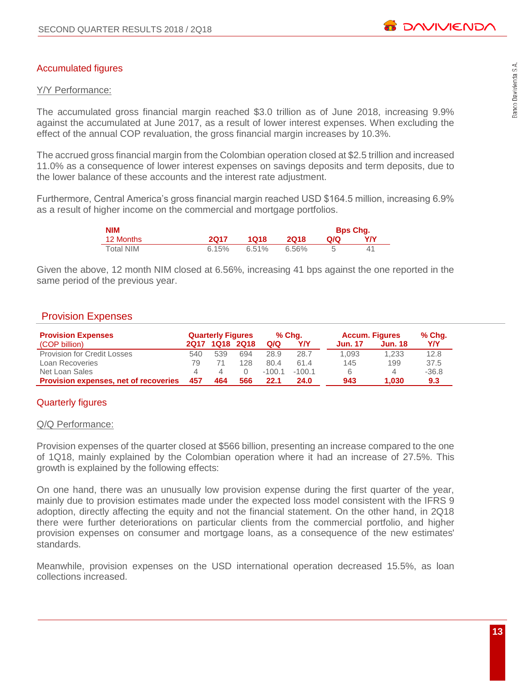# Accumulated figures

# Y/Y Performance:

The accumulated gross financial margin reached \$3.0 trillion as of June 2018, increasing 9.9% against the accumulated at June 2017, as a result of lower interest expenses. When excluding the effect of the annual COP revaluation, the gross financial margin increases by 10.3%.

The accrued gross financial margin from the Colombian operation closed at \$2.5 trillion and increased 11.0% as a consequence of lower interest expenses on savings deposits and term deposits, due to the lower balance of these accounts and the interest rate adjustment.

Furthermore, Central America's gross financial margin reached USD \$164.5 million, increasing 6.9% as a result of higher income on the commercial and mortgage portfolios.

| NIM              |       |          |       |     | <b>Bps Chg.</b> |
|------------------|-------|----------|-------|-----|-----------------|
| 12 Months        | 2017  | 1018     | 2018  | Q/Q | YN              |
| <b>Total NIM</b> | 6.15% | $6.51\%$ | 6.56% |     | 41              |

Given the above, 12 month NIM closed at 6.56%, increasing 41 bps against the one reported in the same period of the previous year.

# Provision Expenses

| <b>Provision Expenses</b>                    |     | <b>Quarterly Figures</b> |     |          | % Cha.   | <b>Accum. Figures</b> |         | % Chq.  |
|----------------------------------------------|-----|--------------------------|-----|----------|----------|-----------------------|---------|---------|
| (COP billion)                                |     | 2017 1018 2018           |     | Q/Q      | Y/Y      | <b>Jun. 17</b>        | Jun. 18 | YN      |
| <b>Provision for Credit Losses</b>           | 540 | 539                      | 694 | 28.9     | 28.7     | 1.093                 | 1.233   | 12.8    |
| Loan Recoveries                              | 79  |                          | 128 | 80.4     | 61.4     | 145                   | 199     | 37.5    |
| Net Loan Sales                               | Δ   |                          |     | $-100.1$ | $-100.1$ | 6                     | 4       | $-36.8$ |
| <b>Provision expenses, net of recoveries</b> | 457 | 464                      | 566 | 22.1     | 24.0     | 943                   | 1.030   | 9.3     |

# Quarterly figures

#### Q/Q Performance:

Provision expenses of the quarter closed at \$566 billion, presenting an increase compared to the one of 1Q18, mainly explained by the Colombian operation where it had an increase of 27.5%. This growth is explained by the following effects:

On one hand, there was an unusually low provision expense during the first quarter of the year, mainly due to provision estimates made under the expected loss model consistent with the IFRS 9 adoption, directly affecting the equity and not the financial statement. On the other hand, in 2Q18 there were further deteriorations on particular clients from the commercial portfolio, and higher provision expenses on consumer and mortgage loans, as a consequence of the new estimates' standards.

Meanwhile, provision expenses on the USD international operation decreased 15.5%, as loan collections increased.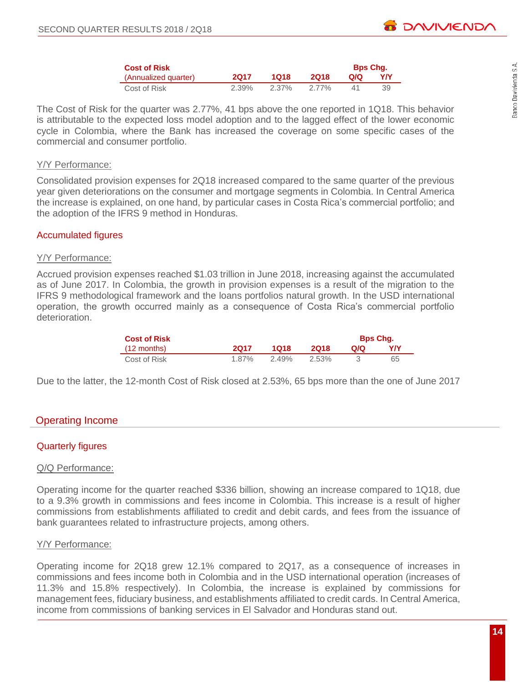| <b>Cost of Risk</b>  |       |       |       | <b>Bps Chg.</b> |    |
|----------------------|-------|-------|-------|-----------------|----|
| (Annualized quarter) | 2017  | 1018  | 2018  | Q/Q             | YN |
| Cost of Risk         | 2.39% | 2.37% | 2.77% |                 | 39 |

The Cost of Risk for the quarter was 2.77%, 41 bps above the one reported in 1Q18. This behavior is attributable to the expected loss model adoption and to the lagged effect of the lower economic cycle in Colombia, where the Bank has increased the coverage on some specific cases of the commercial and consumer portfolio.

#### Y/Y Performance:

Consolidated provision expenses for 2Q18 increased compared to the same quarter of the previous year given deteriorations on the consumer and mortgage segments in Colombia. In Central America the increase is explained, on one hand, by particular cases in Costa Rica's commercial portfolio; and the adoption of the IFRS 9 method in Honduras.

#### Accumulated figures

#### Y/Y Performance:

Accrued provision expenses reached \$1.03 trillion in June 2018, increasing against the accumulated as of June 2017. In Colombia, the growth in provision expenses is a result of the migration to the IFRS 9 methodological framework and the loans portfolios natural growth. In the USD international operation, the growth occurred mainly as a consequence of Costa Rica's commercial portfolio deterioration.

| <b>Cost of Risk</b>   |       |       |       |     | <b>Bps Chq.</b> |
|-----------------------|-------|-------|-------|-----|-----------------|
| $(12 \text{ months})$ | 2017  | 1018  | 2018  | Q/Q | YN              |
| Cost of Risk          | 1.87% | 2.49% | 2.53% |     | 65              |

Due to the latter, the 12-month Cost of Risk closed at 2.53%, 65 bps more than the one of June 2017

# Operating Income

# Quarterly figures

#### Q/Q Performance:

Operating income for the quarter reached \$336 billion, showing an increase compared to 1Q18, due to a 9.3% growth in commissions and fees income in Colombia. This increase is a result of higher commissions from establishments affiliated to credit and debit cards, and fees from the issuance of bank guarantees related to infrastructure projects, among others.

#### Y/Y Performance:

Operating income for 2Q18 grew 12.1% compared to 2Q17, as a consequence of increases in commissions and fees income both in Colombia and in the USD international operation (increases of 11.3% and 15.8% respectively). In Colombia, the increase is explained by commissions for management fees, fiduciary business, and establishments affiliated to credit cards. In Central America, income from commissions of banking services in El Salvador and Honduras stand out.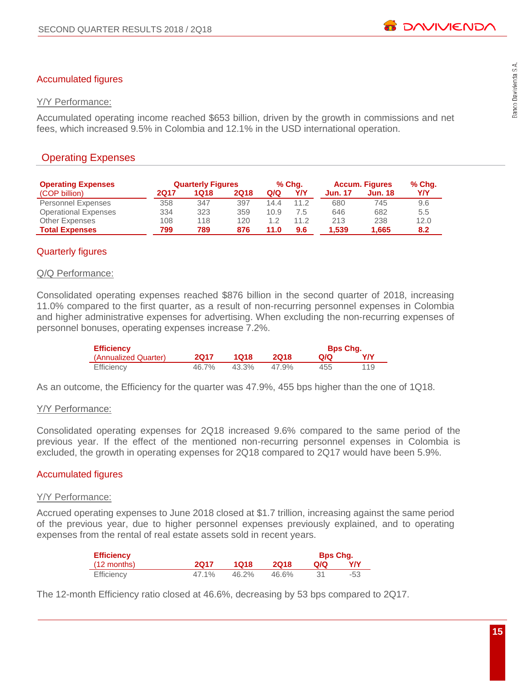# Accumulated figures

# Y/Y Performance:

Accumulated operating income reached \$653 billion, driven by the growth in commissions and net fees, which increased 9.5% in Colombia and 12.1% in the USD international operation.

# Operating Expenses

| <b>Operating Expenses</b>   |      | <b>Quarterly Figures</b> |             |      | % Chq. |         | <b>Accum. Figures</b> | % Chq.     |
|-----------------------------|------|--------------------------|-------------|------|--------|---------|-----------------------|------------|
| (COP billion)               | 2Q17 | 1Q18                     | <b>2Q18</b> | Q/Q  | Y/Y    | Jun. 17 | <b>Jun. 18</b>        | <b>Y/Y</b> |
| <b>Personnel Expenses</b>   | 358  | 347                      | 397         | 14.4 | 11.2   | 680     | 745                   | 9.6        |
| <b>Operational Expenses</b> | 334  | 323                      | 359         | 10.9 | 7.5    | 646     | 682                   | 5.5        |
| <b>Other Expenses</b>       | 108  | 118                      | 120         | 1.2  | 11.2   | 213     | 238                   | 12.0       |
| <b>Total Expenses</b>       | 799  | 789                      | 876         | 11.0 | 9.6    | 1,539   | 1.665                 | 8.2        |

# Quarterly figures

# Q/Q Performance:

Consolidated operating expenses reached \$876 billion in the second quarter of 2018, increasing 11.0% compared to the first quarter, as a result of non-recurring personnel expenses in Colombia and higher administrative expenses for advertising. When excluding the non-recurring expenses of personnel bonuses, operating expenses increase 7.2%.

| <b>Efficiency</b>    |       |       |       | <b>Bps Chq.</b> |     |
|----------------------|-------|-------|-------|-----------------|-----|
| (Annualized Quarter) | 2017  | 1018  | 2018  | Q/Q             | Y/Y |
| Efficiency           | 46.7% | 43.3% | 47.9% | 455             | 119 |

As an outcome, the Efficiency for the quarter was 47.9%, 455 bps higher than the one of 1Q18.

# Y/Y Performance:

Consolidated operating expenses for 2Q18 increased 9.6% compared to the same period of the previous year. If the effect of the mentioned non-recurring personnel expenses in Colombia is excluded, the growth in operating expenses for 2Q18 compared to 2Q17 would have been 5.9%.

# Accumulated figures

# Y/Y Performance:

Accrued operating expenses to June 2018 closed at \$1.7 trillion, increasing against the same period of the previous year, due to higher personnel expenses previously explained, and to operating expenses from the rental of real estate assets sold in recent years.

| <b>Efficiency</b> |       |       |       | <b>Bps Chq.</b> |     |
|-------------------|-------|-------|-------|-----------------|-----|
| (12 months)       | 2017  | 1018  | 2018  | Q/Q             | YN  |
| Efficiency        | 47.1% | 46.2% | 46.6% |                 | -53 |

The 12-month Efficiency ratio closed at 46.6%, decreasing by 53 bps compared to 2Q17.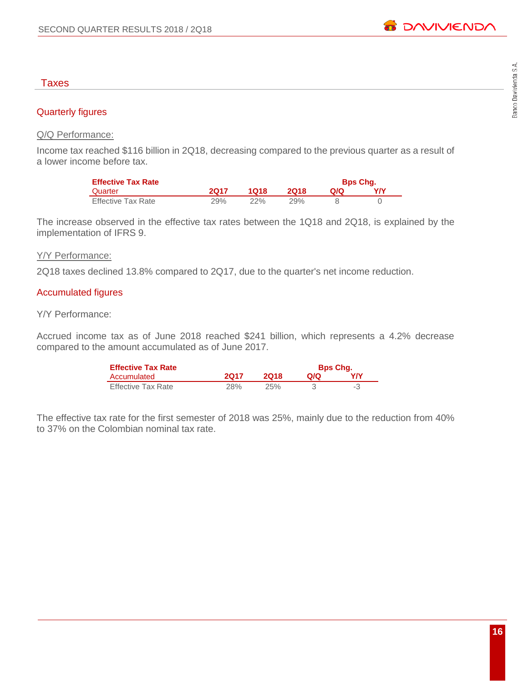# Banco Davivienda S.A.

# Taxes

# Quarterly figures

# Q/Q Performance:

Income tax reached \$116 billion in 2Q18, decreasing compared to the previous quarter as a result of a lower income before tax.

| <b>Effective Tax Rate</b> |      |      |      |     | <b>Bps Chq.</b> |
|---------------------------|------|------|------|-----|-----------------|
| Quarter                   | 2017 | 1018 | 2018 | QIQ | Y/Y             |
| Effective Tax Rate        | 29%  | 22%  | 29%  |     |                 |

The increase observed in the effective tax rates between the 1Q18 and 2Q18, is explained by the implementation of IFRS 9.

#### Y/Y Performance:

2Q18 taxes declined 13.8% compared to 2Q17, due to the quarter's net income reduction.

#### Accumulated figures

#### Y/Y Performance:

Accrued income tax as of June 2018 reached \$241 billion, which represents a 4.2% decrease compared to the amount accumulated as of June 2017.

| <b>Effective Tax Rate</b> |            |      | <b>Bps Chq.</b> |    |
|---------------------------|------------|------|-----------------|----|
| Accumulated               | 2017       | 2018 | Q/Q             | YN |
| <b>Effective Tax Rate</b> | <b>28%</b> | 25%  |                 | -3 |

The effective tax rate for the first semester of 2018 was 25%, mainly due to the reduction from 40% to 37% on the Colombian nominal tax rate.